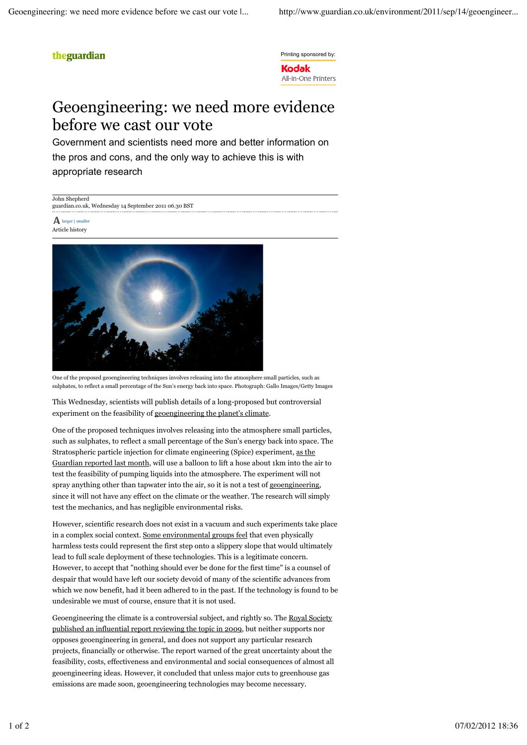## theguardian

Printing sponsored by: Kodak All-in-One Printers

## Geoengineering: we need more evidence before we cast our vote

Government and scientists need more and better information on the pros and cons, and the only way to achieve this is with appropriate research

John Shepherd guardian.co.uk, Wednesday 14 September 2011 06.30 BST

Article history A larger | smaller



One of the proposed geoengineering techniques involves releasing into the atmosphere small particles, such as sulphates, to reflect a small percentage of the Sun's energy back into space. Photograph: Gallo Images/Getty Images

This Wednesday, scientists will publish details of a long-proposed but controversial experiment on the feasibility of geoengineering the planet's climate.

One of the proposed techniques involves releasing into the atmosphere small particles, such as sulphates, to reflect a small percentage of the Sun's energy back into space. The Stratospheric particle injection for climate engineering (Spice) experiment, as the Guardian reported last month, will use a balloon to lift a hose about 1km into the air to test the feasibility of pumping liquids into the atmosphere. The experiment will not spray anything other than tapwater into the air, so it is not a test of geoengineering, since it will not have any effect on the climate or the weather. The research will simply test the mechanics, and has negligible environmental risks.

However, scientific research does not exist in a vacuum and such experiments take place in a complex social context. Some environmental groups feel that even physically harmless tests could represent the first step onto a slippery slope that would ultimately lead to full scale deployment of these technologies. This is a legitimate concern. However, to accept that "nothing should ever be done for the first time" is a counsel of despair that would have left our society devoid of many of the scientific advances from which we now benefit, had it been adhered to in the past. If the technology is found to be undesirable we must of course, ensure that it is not used.

Geoengineering the climate is a controversial subject, and rightly so. The Royal Society published an influential report reviewing the topic in 2009, but neither supports nor opposes geoengineering in general, and does not support any particular research projects, financially or otherwise. The report warned of the great uncertainty about the feasibility, costs, effectiveness and environmental and social consequences of almost all geoengineering ideas. However, it concluded that unless major cuts to greenhouse gas emissions are made soon, geoengineering technologies may become necessary.